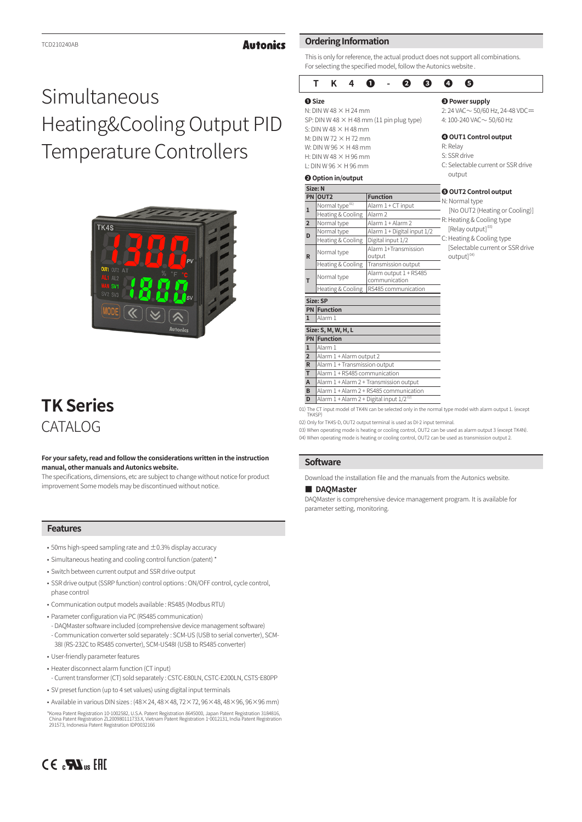#### **Autonics**

## Simultaneous Heating&Cooling Output PID Temperature Controllers



### **TK Series** CATALOG

#### **For your safety, read and follow the considerations written in the instruction manual, other manuals and Autonics website.**

The specifications, dimensions, etc are subject to change without notice for product improvement Some models may be discontinued without notice.

#### **Features**

- $\cdot$  50ms high-speed sampling rate and  $\pm$ 0.3% display accuracy
- Simultaneous heating and cooling control function (patent) \*
- Switch between current output and SSR drive output
- SSR drive output (SSRP function) control options : ON/OFF control, cycle control, phase control
- Communication output models available : RS485 (Modbus RTU)
- Parameter configuration via PC (RS485 communication)
- DAQMaster software included (comprehensive device management software) - Communication converter sold separately : SCM-US (USB to serial converter), SCM-38I (RS-232C to RS485 converter), SCM-US48I (USB to RS485 converter)
- User-friendly parameter features
- Heater disconnect alarm function (CT input) - Current transformer (CT) sold separately : CSTC-E80LN, CSTC-E200LN, CSTS-E80PP
- SV preset function (up to 4 set values) using digital input terminals
- Available in various DIN sizes:  $(48\times24, 48\times48, 72\times72, 96\times48, 48\times96, 96\times96$  mm)

\*Korea Patent Registration 10-1002582, U.S.A. Patent Registration 8645000, Japan Patent Registration 3184816, China Patent Registration ZL200980111733.X, Vietnam Patent Registration 1-0012131, India Patent Registration 291573, Indonesia Patent Registration IDP0032166

#### **Ordering Information**

This is only for reference, the actual product does not support all combinations. For selecting the specified model, follow the Autonics website .

#### **TK4❶-❷❸❹❺ ❶ Size** N: DIN W 48  $\times$  H 24 mm SP: DIN W 48  $\times$  H 48 mm (11 pin plug type) S: DIN W 48  $\times$  H 48 mm  $M:$  DIN W 72  $\times$  H 72 mm W: DIN W  $96 \times H$  48 mm H: DIN W 48  $\times$  H 96 mm  $I:$  DIN W 96  $\times$  H 96 mm **❸ Power supply**  $2: 24$  VAC $\sim 50/60$  Hz, 24-48 VDC $=$ 4: 100-240 VAC ~ 50/60 Hz **❹ OUT1 Control output** R: Relay S: SSR drive C: Selectable current or SSR drive **@** Option in/output **T2 Control output**

|                | Size: N                                        |                                         | <b>@ OUT2 Control output</b>                                                                              |  |  |  |  |
|----------------|------------------------------------------------|-----------------------------------------|-----------------------------------------------------------------------------------------------------------|--|--|--|--|
|                | PN OUT2                                        | <b>Function</b>                         | N: Normal type                                                                                            |  |  |  |  |
| $\mathbf{1}$   | Normal type <sup>01)</sup>                     | Alarm 1 + CT input                      |                                                                                                           |  |  |  |  |
|                | Heating & Cooling                              | Alarm <sub>2</sub>                      | [No OUT2 (Heating or Cooling                                                                              |  |  |  |  |
| $\overline{2}$ | Normal type                                    | Alarm 1 + Alarm 2                       | R: Heating & Cooling type                                                                                 |  |  |  |  |
| D              | Normal type                                    | Alarm 1 + Digital input 1/2             | [Relay output] <sup>03)</sup>                                                                             |  |  |  |  |
|                | Heating & Cooling                              | Digital input 1/2                       | C: Heating & Cooling type                                                                                 |  |  |  |  |
| $\mathsf{R}$   | Normal type                                    | Alarm 1+Transmission<br>output          | [Selectable current or SSR driv<br>output] <sup>04)</sup>                                                 |  |  |  |  |
|                | Heating & Cooling                              | Transmission output                     |                                                                                                           |  |  |  |  |
| т              | Normal type                                    | Alarm output 1 + RS485<br>communication |                                                                                                           |  |  |  |  |
|                | Heating & Cooling                              | RS485 communication                     |                                                                                                           |  |  |  |  |
|                | Size: SP                                       |                                         |                                                                                                           |  |  |  |  |
|                | <b>PN</b> Function                             |                                         |                                                                                                           |  |  |  |  |
| ı              | Alarm 1                                        |                                         |                                                                                                           |  |  |  |  |
|                | Size: S, M, W, H, L                            |                                         |                                                                                                           |  |  |  |  |
|                | <b>PN</b> Function                             |                                         |                                                                                                           |  |  |  |  |
| $\mathbf{1}$   | Alarm 1                                        |                                         |                                                                                                           |  |  |  |  |
| $\overline{2}$ | Alarm 1 + Alarm output 2                       |                                         |                                                                                                           |  |  |  |  |
| R              | Alarm 1 + Transmission output                  |                                         |                                                                                                           |  |  |  |  |
| т              | Alarm 1 + RS485 communication                  |                                         |                                                                                                           |  |  |  |  |
| A              |                                                | Alarm 1 + Alarm 2 + Transmission output |                                                                                                           |  |  |  |  |
| B              |                                                | Alarm 1 + Alarm 2 + RS485 communication |                                                                                                           |  |  |  |  |
| D              | Alarm $1 +$ Alarm 2 + Digital input $1/2^{02}$ |                                         |                                                                                                           |  |  |  |  |
|                |                                                |                                         | 01) The CT input model of TK4N can be selected only in the normal type model with alarm output 1. (except |  |  |  |  |

mal type OUT2 (Heating or Cooling)]

- ting & Cooling type ay output]<sup>03)</sup>
- ting & Cooling type
- ectable current or SSR drive  $u$ ut $]^{04}$

02) Only for TK4S-D, OUT2 output terminal is used as DI-2 input terminal. TK4SP)

04) When operating mode is heating or cooling control, OUT2 can be used as transmission output 2. 03) When operating mode is heating or cooling control, OUT2 can be used as alarm output 3 (except TK4N)

#### **Software**

Download the installation file and the manuals from the Autonics website.

#### **■ DAQMaster**

DAQMaster is comprehensive device management program. It is available for parameter setting, monitoring.

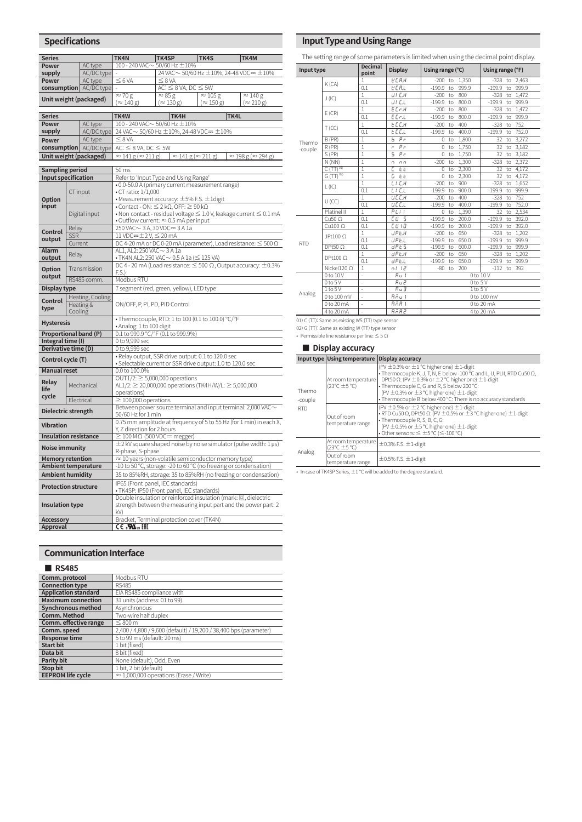| <b>Specifications</b>        |                       |                          |                                                                                                                                    |                                                                 |                           |                                                                                      |  |  |  |  |
|------------------------------|-----------------------|--------------------------|------------------------------------------------------------------------------------------------------------------------------------|-----------------------------------------------------------------|---------------------------|--------------------------------------------------------------------------------------|--|--|--|--|
| <b>Series</b>                |                       |                          | TK4N                                                                                                                               | TK4SP                                                           | TK4S                      | TK4M                                                                                 |  |  |  |  |
| Power                        |                       | AC type                  |                                                                                                                                    | 100 - 240 VAC~50/60 Hz ±10%                                     |                           |                                                                                      |  |  |  |  |
| supply                       |                       | AC/DC type               |                                                                                                                                    |                                                                 |                           | 24 VAC ~ 50/60 Hz ± 10%, 24-48 VDC== ± 10%                                           |  |  |  |  |
| Power                        |                       | AC type                  | $\leq 6$ VA                                                                                                                        | $\leq$ 8 VA                                                     |                           |                                                                                      |  |  |  |  |
| consumption   AC/DC type     |                       |                          | $\approx 70 g$                                                                                                                     | AC: $\leq$ 8 VA, DC $\leq$ 5W<br>$\approx 85$ g                 | $\approx 105$ g           | $\approx$ 140 g                                                                      |  |  |  |  |
|                              |                       | Unit weight (packaged)   | $(\approx 140 \text{ g})$                                                                                                          | $(\approx 130 \text{ g})$                                       | $(\approx 150 \text{ g})$ | $(\approx 210 \text{ g})$                                                            |  |  |  |  |
|                              |                       |                          |                                                                                                                                    |                                                                 |                           |                                                                                      |  |  |  |  |
| <b>Series</b>                |                       |                          | TK4W<br>TK4H<br>TK4L                                                                                                               |                                                                 |                           |                                                                                      |  |  |  |  |
| Power                        |                       | AC type<br>AC/DC type    | $100 - 240$ VAC $\sim 50/60$ Hz $\pm 10\%$<br>24 VAC ~ 50/60 Hz ±10%, 24-48 VDC == ±10%                                            |                                                                 |                           |                                                                                      |  |  |  |  |
| supply<br>Power              |                       | AC type                  | $\leq$ 8 VA                                                                                                                        |                                                                 |                           |                                                                                      |  |  |  |  |
|                              |                       | consumption   AC/DC type | AC: $\leq$ 8 VA, DC $\leq$ 5W                                                                                                      |                                                                 |                           |                                                                                      |  |  |  |  |
|                              |                       | Unit weight (packaged)   | $\approx$ 141 g ( $\approx$ 211 g)<br>$\approx 141 g (\approx 211 g)$<br>$\approx$ 198 g ( $\approx$ 294 g)                        |                                                                 |                           |                                                                                      |  |  |  |  |
|                              |                       |                          |                                                                                                                                    |                                                                 |                           |                                                                                      |  |  |  |  |
| <b>Sampling period</b>       |                       |                          | $\overline{5}0 \text{ ms}$                                                                                                         |                                                                 |                           |                                                                                      |  |  |  |  |
| <b>Input specification</b>   |                       |                          |                                                                                                                                    | Refer to 'Input Type and Using Range'                           |                           |                                                                                      |  |  |  |  |
|                              |                       |                          |                                                                                                                                    | • 0.0-50.0 A (primary current measurement range)                |                           |                                                                                      |  |  |  |  |
| <b>Option</b>                | CT input              |                          | • CT ratio: 1/1,000<br>$\bullet$ Measurement accuracy: $\pm$ 5% F.S. $\pm$ 1digit                                                  |                                                                 |                           |                                                                                      |  |  |  |  |
| input                        |                       |                          |                                                                                                                                    | • Contact - ON: $\leq$ 2 k $\Omega$ , OFF: $\geq$ 90 k $\Omega$ |                           |                                                                                      |  |  |  |  |
|                              |                       | Digital input            |                                                                                                                                    |                                                                 |                           | $\bullet$ Non contact - residual voltage $\leq$ 1.0 V, leakage current $\leq$ 0.1 mA |  |  |  |  |
|                              |                       |                          |                                                                                                                                    | $\bullet$ Outflow current: $\approx$ 0.5 mA per input           |                           |                                                                                      |  |  |  |  |
| Control                      | Relay                 |                          | 250 VAC ~ 3 A, 30 VDC = 3 A 1a                                                                                                     |                                                                 |                           |                                                                                      |  |  |  |  |
| output                       | <b>SSR</b><br>Current |                          | $11$ VDC= $\pm$ 2 V, $\leq$ 20 mA<br>DC 4-20 mA or DC 0-20 mA (parameter), Load resistance: $\leq 500 \Omega$                      |                                                                 |                           |                                                                                      |  |  |  |  |
| <b>Alarm</b>                 |                       |                          | AL1, AL2: 250 VAC ~ 3 A 1a                                                                                                         |                                                                 |                           |                                                                                      |  |  |  |  |
| output                       | Relay                 |                          | • TK4N AL2: 250 VAC $\sim$ 0.5 A 1a ( $\leq$ 125 VA)                                                                               |                                                                 |                           |                                                                                      |  |  |  |  |
| <b>Option</b>                | Transmission          |                          | DC 4 - 20 mA (Load resistance: $\leq$ 500 $\Omega$ , Output accuracy: $\pm$ 0.3%<br>F.S.                                           |                                                                 |                           |                                                                                      |  |  |  |  |
| output                       | RS485 comm.           |                          | Modbus RTU                                                                                                                         |                                                                 |                           |                                                                                      |  |  |  |  |
| Display type                 |                       |                          |                                                                                                                                    | 7 segment (red, green, yellow), LED type                        |                           |                                                                                      |  |  |  |  |
|                              |                       | Heating, Cooling         |                                                                                                                                    |                                                                 |                           |                                                                                      |  |  |  |  |
| Control<br>type              | Heating &             |                          | ON/OFF, P, PI, PD, PID Control                                                                                                     |                                                                 |                           |                                                                                      |  |  |  |  |
|                              | Cooling               |                          | • Thermocouple, RTD: 1 to 100 (0.1 to 100.0) °C/°F                                                                                 |                                                                 |                           |                                                                                      |  |  |  |  |
| <b>Hysteresis</b>            |                       |                          | · Analog: 1 to 100 digit                                                                                                           |                                                                 |                           |                                                                                      |  |  |  |  |
| Proportional band (P)        |                       |                          |                                                                                                                                    | 0.1 to 999.9 °C/°F (0.1 to 999.9%)                              |                           |                                                                                      |  |  |  |  |
| Integral time (I)            |                       |                          | 0 to 9,999 sec                                                                                                                     |                                                                 |                           |                                                                                      |  |  |  |  |
| Derivative time (D)          |                       |                          | 0 to 9,999 sec                                                                                                                     |                                                                 |                           |                                                                                      |  |  |  |  |
| Control cycle (T)            |                       |                          |                                                                                                                                    | · Relay output, SSR drive output: 0.1 to 120.0 sec              |                           |                                                                                      |  |  |  |  |
| <b>Manual reset</b>          |                       |                          | · Selectable current or SSR drive output: 1.0 to 120.0 sec<br>0.0 to 100.0%                                                        |                                                                 |                           |                                                                                      |  |  |  |  |
|                              |                       |                          | OUT1/2: $\geq$ 5,000,000 operations                                                                                                |                                                                 |                           |                                                                                      |  |  |  |  |
| Relay<br>life                |                       | Mechanical               | AL1/2: $\geq$ 20,000,000 operations (TK4H/W/L: $\geq$ 5,000,000                                                                    |                                                                 |                           |                                                                                      |  |  |  |  |
| cycle                        |                       |                          | operations)                                                                                                                        |                                                                 |                           |                                                                                      |  |  |  |  |
|                              | Electrical            |                          | $\geq$ 100,000 operations<br>Between power source terminal and input terminal: 2,000 VAC $\sim$                                    |                                                                 |                           |                                                                                      |  |  |  |  |
| Dielectric strength          |                       |                          | 50/60 Hz for 1 min                                                                                                                 |                                                                 |                           |                                                                                      |  |  |  |  |
|                              |                       |                          | 0.75 mm amplitude at frequency of 5 to 55 Hz (for 1 min) in each X,                                                                |                                                                 |                           |                                                                                      |  |  |  |  |
| <b>Vibration</b>             |                       |                          | Y, Z direction for 2 hours                                                                                                         |                                                                 |                           |                                                                                      |  |  |  |  |
| <b>Insulation resistance</b> |                       |                          | $\geq$ 100 M $\Omega$ (500 VDC= megger)                                                                                            |                                                                 |                           |                                                                                      |  |  |  |  |
| Noise immunity               |                       |                          | $\pm$ 2 kV square shaped noise by noise simulator (pulse width: 1 µs)<br>R-phase, S-phase                                          |                                                                 |                           |                                                                                      |  |  |  |  |
| <b>Memory retention</b>      |                       |                          | $\approx$ 10 years (non-volatile semiconductor memory type)                                                                        |                                                                 |                           |                                                                                      |  |  |  |  |
| Ambient temperature          |                       |                          | -10 to 50 °C, storage: -20 to 60 °C (no freezing or condensation)                                                                  |                                                                 |                           |                                                                                      |  |  |  |  |
| <b>Ambient humidity</b>      |                       |                          | 35 to 85%RH, storage: 35 to 85%RH (no freezing or condensation)                                                                    |                                                                 |                           |                                                                                      |  |  |  |  |
| <b>Protection structure</b>  |                       |                          |                                                                                                                                    | IP65 (Front panel, IEC standards)                               |                           |                                                                                      |  |  |  |  |
|                              |                       |                          |                                                                                                                                    | · TK4SP: IP50 (Front panel, IEC standards)                      |                           |                                                                                      |  |  |  |  |
| Insulation type              |                       |                          | Double insulation or reinforced insulation (mark: 回, dielectric<br>strength between the measuring input part and the power part: 2 |                                                                 |                           |                                                                                      |  |  |  |  |
|                              |                       |                          | kV)                                                                                                                                |                                                                 |                           |                                                                                      |  |  |  |  |
| <b>Accessory</b>             |                       |                          | Bracket, Terminal protection cover (TK4N)                                                                                          |                                                                 |                           |                                                                                      |  |  |  |  |
| Approval                     |                       |                          | C∈. <b>™</b> ™                                                                                                                     |                                                                 |                           |                                                                                      |  |  |  |  |

#### **Communication Interface**

### **Comm. protocol Modbus RTU**<br>**Connection type** RS485 **Application standard** EIA RS485 compliance with **Maximum connection** 31 units (address: 01 to 99) **Synchronous method** Asynchronous<br>**Comm. Method** Two-wire half duplex<br>**Comm. effective range** ≤ 800 m **Comm. speed** 2,400 / 4,800 / 9,600 (default) / 19,200 / 38,400 bps (parameter) **Response times**<br> **Response to 99 ms (default: 20 ms)**<br> **1 bit (fixed) Start bit** 1 bit (fixed)<br> **Data bit** 8 bit (fixed) **Parity bit**<br> **Parity bit**<br> **Parity Bit**<br> **Parity bit**<br> **Parity Dist (default) Stop bit**<br> **EEPROM life cycle EEPROM life cycle** ≈ 1,000,000 operations (Erase / Write) **■ RS485**

### **Input Type and Using Range**

The setting range of some parameters is limited when using the decimal point display.

| Input type |                    | <b>Decimal</b><br>point  | <b>Display</b>                | Using range (°C) |    |       | Using range (°F) |     |       |
|------------|--------------------|--------------------------|-------------------------------|------------------|----|-------|------------------|-----|-------|
|            | K (CA)             | 1                        | <b>PERH</b>                   | $-200$           | to | 1,350 | $-328$           | to  | 2,463 |
|            |                    | 0.1                      | <b>PERL</b>                   | $-199.9$         | to | 999.9 | $-199.9$         | to  | 999.9 |
|            | J(IC)              | 1                        | JI E.H                        | $-200$           | to | 800   | $-328$           | to  | 1.472 |
|            |                    | 0.1                      | <b>JI EL</b>                  | $-199.9$         | to | 800.0 | $-199.9$         | to  | 999.9 |
|            | E(CR)              | $\overline{1}$           | E C r.H                       | $-200$           | to | 800   | $-328$           | to  | 1,472 |
|            |                    | 0.1                      | E C r.L                       | $-199.9$         | to | 800.0 | $-199.9$         | to  | 999.9 |
|            |                    | $\overline{1}$           | ECC.H                         | $-200$           | to | 400   | $-328$           | to  | 752   |
|            | T(CC)              | 0.1                      | E E E.L                       | $-199.9$         | to | 400.0 | $-199.9$         | to  | 752.0 |
| Thermo     | B(PR)              | $\overline{1}$           | $P_{r}$<br>Ь                  | 0                | to | 1,800 | 32               | to  | 3,272 |
| -couple    | $R$ (PR)           | $\overline{1}$           | $P_{r}$<br>c                  | 0                | to | 1,750 | 32               | to  | 3,182 |
|            | S(PR)              | $\overline{1}$           | 5<br>$P_{r}$                  | 0                | to | 1,750 | 32               | to  | 3,182 |
|            | N(NN)              | $\overline{1}$           | n <sub>n</sub><br>U           | $-200$           | to | 1.300 | $-328$           | to  | 2.372 |
|            | $C(TT)^{01}$       | $\overline{1}$           | E<br><b>EE</b>                | $\Omega$         | to | 2.300 | 32               | to  | 4.172 |
|            | $G(TT)^{02}$       | $\mathbf{1}$             | C.<br>ŁŁ                      | $\theta$         | to | 2,300 | 32               | to. | 4,172 |
|            | L(IC)              | $\mathbf{1}$             | LI E.H                        | $-200$           | to | 900   | $-328$           | to  | 1,652 |
|            |                    | 0.1                      | LI E.L                        | $-199.9$         | to | 900.0 | $-199.9$         | to  | 999.9 |
|            | $U$ (CC)           | $\mathbf{1}$             | UCC.H                         | $-200$           | to | 400   | $-328$           | to  | 752   |
|            |                    | 0.1                      | UCCL                          | $-199.9$         | to | 400.0 | $-199.9$         | to  | 752.0 |
|            | Platinel II        | $\mathbf{1}$             | PLII                          | $\overline{0}$   | to | 1,390 | 32               | to  | 2.534 |
|            | Cu50 $\Omega$      | 0.1                      | Eи<br>- 5                     | $-199.9$         | to | 200.0 | $-199.9$         | to  | 392.0 |
|            | Cu100 $\Omega$     | 0.1                      | CU IO                         | $-199.9$         | to | 200.0 | $-199.9$         | to  | 392.0 |
|            | JPt100 $\Omega$    | $\overline{1}$           | JPE.H                         | $-200$           | to | 650   | $-328$           | to  | 1,202 |
| <b>RTD</b> |                    | 0.1                      | JP E.L                        | $-199.9$         | to | 650.0 | $-199.9$         | to  | 999.9 |
|            | DPt50 $\Omega$     | 0.1                      | dPE5                          | $-199.9$         | to | 600.0 | $-199.9$         | to  | 999.9 |
|            | $DPt100 \Omega$    | $\mathbf{1}$             | dPE.H                         | $-200$           | to | 650   | $-328$           | to  | 1,202 |
|            |                    | 0.1                      | dPEL                          | $-199.9$         | to | 650.0 | $-199.9$         | to  | 999.9 |
|            | Nickel120 $\Omega$ | $\mathbf{1}$             | n   12                        | $-80$            | to | 200   | $-112$           | to  | 392   |
|            | 0 to 10 V          | ×,                       | $A \cup I$                    | 0 to 10 V        |    |       |                  |     |       |
|            | $0$ to $5$ V       | $\overline{\phantom{a}}$ | Ru2                           | $0$ to $5V$      |    |       |                  |     |       |
| Analog     | 1 to 5 V           | $\overline{\phantom{a}}$ | Ru3                           | $1$ to $5$ V     |    |       |                  |     |       |
|            | 0 to 100 mV        | ä,                       | R <sub>n</sub> u <sub>l</sub> | 0 to 100 mV      |    |       |                  |     |       |
|            | 0 to 20 mA         | ×,                       | R <sub>n</sub> R              |                  |    |       | 0 to 20 mA       |     |       |
|            | 4 to 20 mA         | ä,                       | <b>AAA2</b>                   |                  |    |       | 4 to 20 mA       |     |       |

01) C (TT): Same as existing W5 (TT) type sensor 02) G (TT): Same as existing W (TT) type sensor

• Permissible line resistance per line: ≤ 5 Ω

#### **■ Display accuracy**

|                   | Input type Using temperature        | <b>Display accuracy</b>                                                                                                                                                                                                                                                                                                                                                                 |
|-------------------|-------------------------------------|-----------------------------------------------------------------------------------------------------------------------------------------------------------------------------------------------------------------------------------------------------------------------------------------------------------------------------------------------------------------------------------------|
| Thermo<br>-couple | At room temperature<br>(23°C ±5 °C) | (PV $\pm$ 0.3% or $\pm$ 1 °C higher one) $\pm$ 1-digit<br>• Thermocouple K, J, T, N, E below -100 $^{\circ}$ C and L, U, PLII, RTD Cu50 $\Omega$ ,<br>DPt50 $\Omega$ : (PV $\pm$ 0.3% or $\pm$ 2 °C higher one) $\pm$ 1-digit<br>. Thermocouple C, G and R, S below 200 °C:<br>(PV ±0.3% or ±3 °C higher one) ±1-digit<br>• Thermocouple B below 400 °C: There is no accuracy standards |
| <b>RTD</b>        | Out of room<br>temperature range    | (PV $\pm$ 0.5% or $\pm$ 2 °C higher one) $\pm$ 1-digit<br>• RTD Cu50 $\Omega$ , DPt50 $\Omega$ : (PV $\pm$ 0.5% or $\pm$ 3 °C higher one) $\pm$ 1-digit<br>• Thermocouple R, S, B, C, G:<br>(PV ±0.5% or ±5 °C higher one) ±1-digit<br>• Other sensors: $\leq \pm 5$ °C ( $\leq$ -100 °C)                                                                                               |
|                   | At room temperature<br>(23°C ±5 °C) | $\pm$ 0.3% F.S. $\pm$ 1-digit                                                                                                                                                                                                                                                                                                                                                           |
| Analog            | Out of room<br>temperature range    | $\pm$ 0.5% F.S. $\pm$ 1-digit                                                                                                                                                                                                                                                                                                                                                           |

• In case of TK4SP Series, ±1 ℃ will be added to the degree standard.